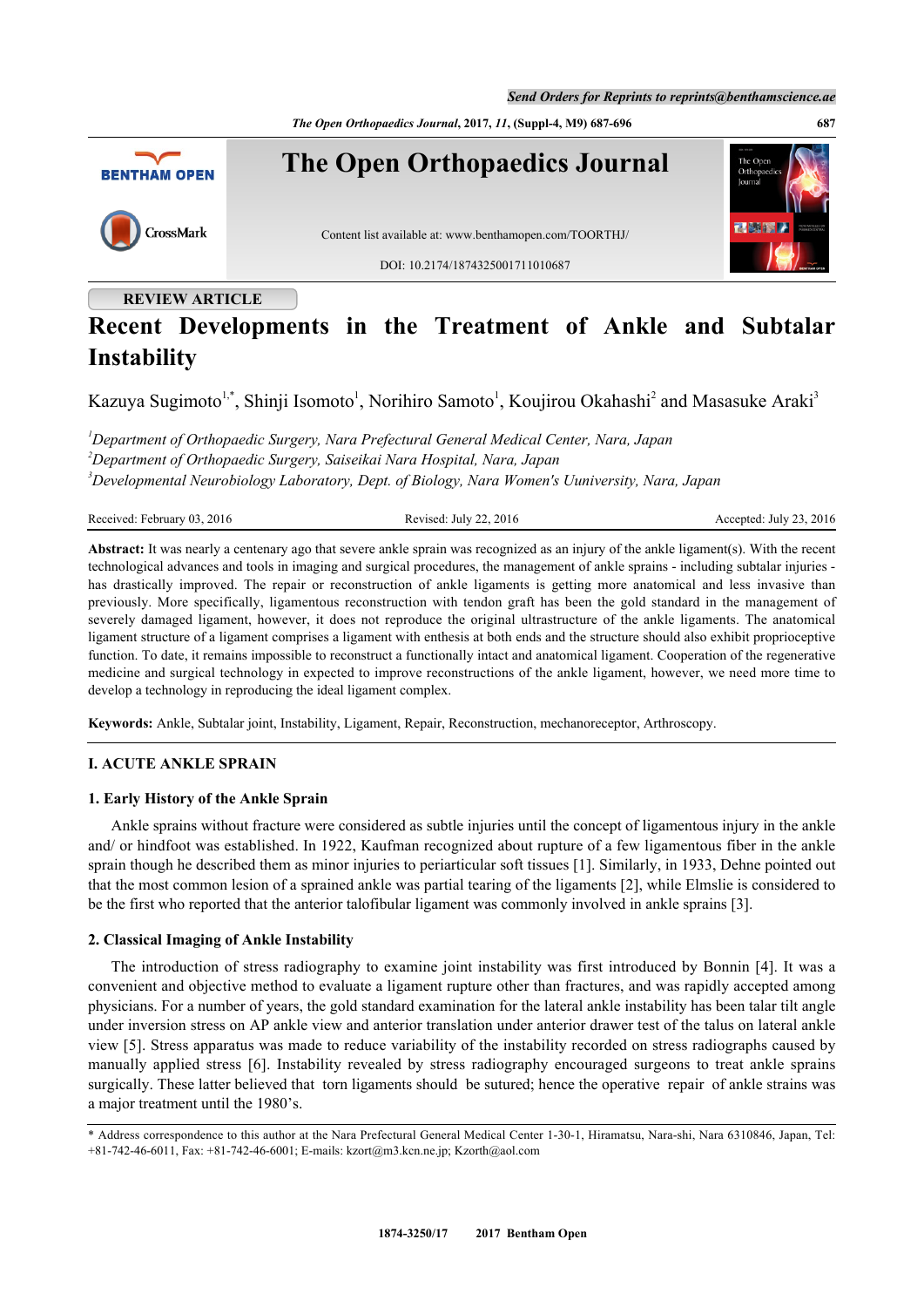*The Open Orthopaedics Journal***, 2017,** *11***, (Suppl-4, M9) 687-696 687**



# **REVIEW ARTICLE**

# **Recent Developments in the Treatment of Ankle and Subtalar Instability**

Kazuya Sugimoto<sup>[1](#page-0-0),[\\*](#page-0-1)</sup>, Shinji Isomoto<sup>1</sup>, Norihiro Samoto<sup>1</sup>, Koujirou Okahashi<sup>[2](#page-0-2)</sup> and Masasuke Araki<sup>[3](#page-0-3)</sup>

<span id="page-0-3"></span><span id="page-0-2"></span><span id="page-0-0"></span>*<sup>1</sup>Department of Orthopaedic Surgery, Nara Prefectural General Medical Center, Nara, Japan <sup>2</sup>Department of Orthopaedic Surgery, Saiseikai Nara Hospital, Nara, Japan <sup>3</sup>Developmental Neurobiology Laboratory, Dept. of Biology, Nara Women's Uuniversity, Nara, Japan*

Received: February 03, 2016 Revised: July 22, 2016 Revised: July 22, 2016 Accepted: July 23, 2016

**Abstract:** It was nearly a centenary ago that severe ankle sprain was recognized as an injury of the ankle ligament(s). With the recent technological advances and tools in imaging and surgical procedures, the management of ankle sprains - including subtalar injuries has drastically improved. The repair or reconstruction of ankle ligaments is getting more anatomical and less invasive than previously. More specifically, ligamentous reconstruction with tendon graft has been the gold standard in the management of severely damaged ligament, however, it does not reproduce the original ultrastructure of the ankle ligaments. The anatomical ligament structure of a ligament comprises a ligament with enthesis at both ends and the structure should also exhibit proprioceptive function. To date, it remains impossible to reconstruct a functionally intact and anatomical ligament. Cooperation of the regenerative medicine and surgical technology in expected to improve reconstructions of the ankle ligament, however, we need more time to develop a technology in reproducing the ideal ligament complex.

**Keywords:** Ankle, Subtalar joint, Instability, Ligament, Repair, Reconstruction, mechanoreceptor, Arthroscopy.

# **I. ACUTE ANKLE SPRAIN**

### **1. Early History of the Ankle Sprain**

Ankle sprains without fracture were considered as subtle injuries until the concept of ligamentous injury in the ankle and/ or hindfoot was established. In 1922, Kaufman recognized about rupture of a few ligamentous fiber in the ankle sprain though he described them as minor injuries to periarticular soft tissues [[1\]](#page-6-0). Similarly, in 1933, Dehne pointed out that the most common lesion of a sprained ankle was partial tearing of the ligaments [\[2](#page-6-1)], while Elmslie is considered to be the first who reported that the anterior talofibular ligament was commonly involved in ankle sprains [\[3](#page-6-2)].

### **2. Classical Imaging of Ankle Instability**

The introduction of stress radiography to examine joint instability was first introduced by Bonnin [\[4](#page-6-3)]. It was a convenient and objective method to evaluate a ligament rupture other than fractures, and was rapidly accepted among physicians. For a number of years, the gold standard examination for the lateral ankle instability has been talar tilt angle under inversion stress on AP ankle view and anterior translation under anterior drawer test of the talus on lateral ankle view [[5](#page-6-4)]. Stress apparatus was made to reduce variability of the instability recorded on stress radiographs caused by manually applied stress [\[6](#page-6-5)]. Instability revealed by stress radiography encouraged surgeons to treat ankle sprains surgically. These latter believed that torn ligaments should be sutured; hence the operative repair of ankle strains was a major treatment until the 1980's.

<span id="page-0-1"></span><sup>\*</sup> Address correspondence to this author at the Nara Prefectural General Medical Center 1-30-1, Hiramatsu, Nara-shi, Nara 6310846, Japan, Tel: +81-742-46-6011, Fax: +81-742-46-6001; E-mails: [kzort@m3.kcn.ne.jp;](mailto:kzort@m3.kcn.ne.jp) [Kzorth@aol.com](mailto:Kzorth@aol.com)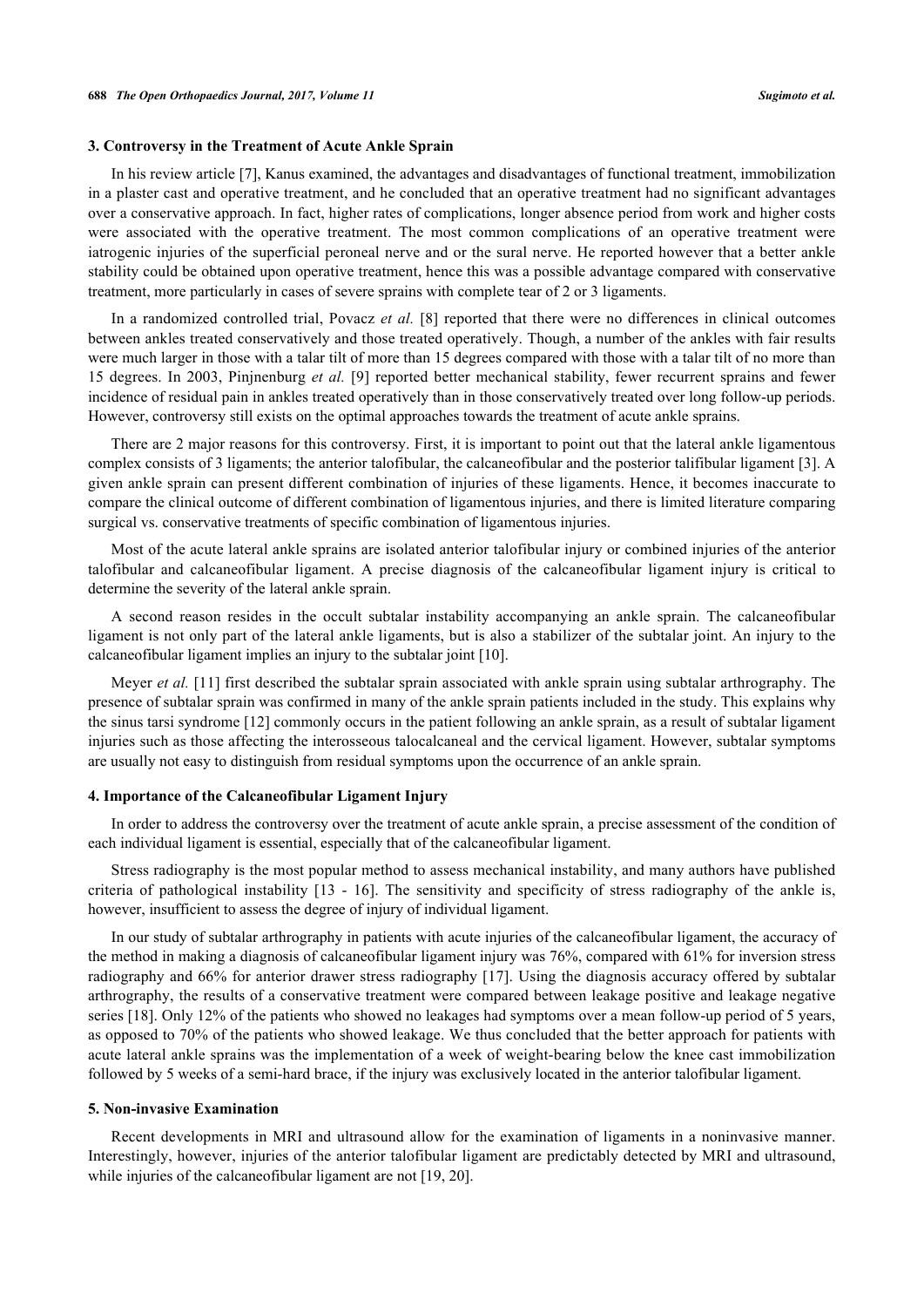#### **3. Controversy in the Treatment of Acute Ankle Sprain**

In his review article [\[7](#page-6-6)], Kanus examined, the advantages and disadvantages of functional treatment, immobilization in a plaster cast and operative treatment, and he concluded that an operative treatment had no significant advantages over a conservative approach. In fact, higher rates of complications, longer absence period from work and higher costs were associated with the operative treatment. The most common complications of an operative treatment were iatrogenic injuries of the superficial peroneal nerve and or the sural nerve. He reported however that a better ankle stability could be obtained upon operative treatment, hence this was a possible advantage compared with conservative treatment, more particularly in cases of severe sprains with complete tear of 2 or 3 ligaments.

In a randomized controlled trial, Povacz *et al.* [\[8](#page-6-7)] reported that there were no differences in clinical outcomes between ankles treated conservatively and those treated operatively. Though, a number of the ankles with fair results were much larger in those with a talar tilt of more than 15 degrees compared with those with a talar tilt of no more than 15 degrees. In 2003, Pinjnenburg *et al.* [[9\]](#page-7-0) reported better mechanical stability, fewer recurrent sprains and fewer incidence of residual pain in ankles treated operatively than in those conservatively treated over long follow-up periods. However, controversy still exists on the optimal approaches towards the treatment of acute ankle sprains.

There are 2 major reasons for this controversy. First, it is important to point out that the lateral ankle ligamentous complex consists of 3 ligaments; the anterior talofibular, the calcaneofibular and the posterior talifibular ligament [[3\]](#page-6-2). A given ankle sprain can present different combination of injuries of these ligaments. Hence, it becomes inaccurate to compare the clinical outcome of different combination of ligamentous injuries, and there is limited literature comparing surgical vs. conservative treatments of specific combination of ligamentous injuries.

Most of the acute lateral ankle sprains are isolated anterior talofibular injury or combined injuries of the anterior talofibular and calcaneofibular ligament. A precise diagnosis of the calcaneofibular ligament injury is critical to determine the severity of the lateral ankle sprain.

A second reason resides in the occult subtalar instability accompanying an ankle sprain. The calcaneofibular ligament is not only part of the lateral ankle ligaments, but is also a stabilizer of the subtalar joint. An injury to the calcaneofibular ligament implies an injury to the subtalar joint [[10\]](#page-7-1).

Meyer *et al.* [\[11\]](#page-7-2) first described the subtalar sprain associated with ankle sprain using subtalar arthrography. The presence of subtalar sprain was confirmed in many of the ankle sprain patients included in the study. This explains why the sinus tarsi syndrome [[12\]](#page-7-3) commonly occurs in the patient following an ankle sprain, as a result of subtalar ligament injuries such as those affecting the interosseous talocalcaneal and the cervical ligament. However, subtalar symptoms are usually not easy to distinguish from residual symptoms upon the occurrence of an ankle sprain.

#### **4. Importance of the Calcaneofibular Ligament Injury**

In order to address the controversy over the treatment of acute ankle sprain, a precise assessment of the condition of each individual ligament is essential, especially that of the calcaneofibular ligament.

Stress radiography is the most popular method to assess mechanical instability, and many authors have published criteria of pathological instability[[13](#page-7-4) - [16](#page-7-5)]. The sensitivity and specificity of stress radiography of the ankle is, however, insufficient to assess the degree of injury of individual ligament.

In our study of subtalar arthrography in patients with acute injuries of the calcaneofibular ligament, the accuracy of the method in making a diagnosis of calcaneofibular ligament injury was 76%, compared with 61% for inversion stress radiography and 66% for anterior drawer stress radiography [[17\]](#page-7-6). Using the diagnosis accuracy offered by subtalar arthrography, the results of a conservative treatment were compared between leakage positive and leakage negative series [[18\]](#page-7-7). Only 12% of the patients who showed no leakages had symptoms over a mean follow-up period of 5 years, as opposed to 70% of the patients who showed leakage. We thus concluded that the better approach for patients with acute lateral ankle sprains was the implementation of a week of weight-bearing below the knee cast immobilization followed by 5 weeks of a semi-hard brace, if the injury was exclusively located in the anterior talofibular ligament.

#### **5. Non-invasive Examination**

Recent developments in MRI and ultrasound allow for the examination of ligaments in a noninvasive manner. Interestingly, however, injuries of the anterior talofibular ligament are predictably detected by MRI and ultrasound, while injuries of the calcaneofibular ligament are not [\[19](#page-7-8), [20](#page-7-9)].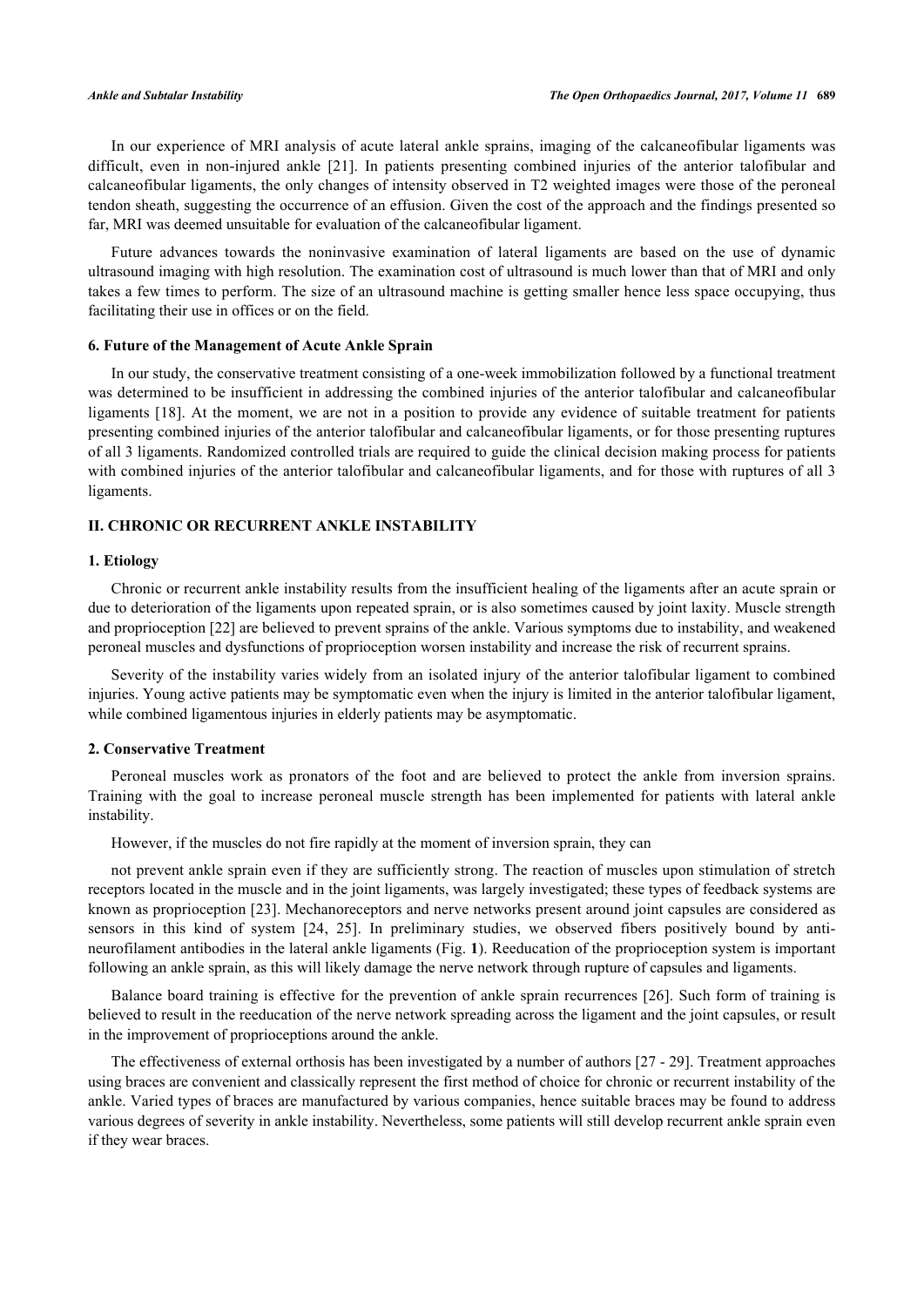In our experience of MRI analysis of acute lateral ankle sprains, imaging of the calcaneofibular ligaments was difficult, even in non-injured ankle[[21\]](#page-7-10). In patients presenting combined injuries of the anterior talofibular and calcaneofibular ligaments, the only changes of intensity observed in T2 weighted images were those of the peroneal tendon sheath, suggesting the occurrence of an effusion. Given the cost of the approach and the findings presented so far, MRI was deemed unsuitable for evaluation of the calcaneofibular ligament.

Future advances towards the noninvasive examination of lateral ligaments are based on the use of dynamic ultrasound imaging with high resolution. The examination cost of ultrasound is much lower than that of MRI and only takes a few times to perform. The size of an ultrasound machine is getting smaller hence less space occupying, thus facilitating their use in offices or on the field.

#### **6. Future of the Management of Acute Ankle Sprain**

In our study, the conservative treatment consisting of a one-week immobilization followed by a functional treatment was determined to be insufficient in addressing the combined injuries of the anterior talofibular and calcaneofibular ligaments [\[18\]](#page-7-7). At the moment, we are not in a position to provide any evidence of suitable treatment for patients presenting combined injuries of the anterior talofibular and calcaneofibular ligaments, or for those presenting ruptures of all 3 ligaments. Randomized controlled trials are required to guide the clinical decision making process for patients with combined injuries of the anterior talofibular and calcaneofibular ligaments, and for those with ruptures of all 3 ligaments.

# **II. CHRONIC OR RECURRENT ANKLE INSTABILITY**

#### **1. Etiology**

Chronic or recurrent ankle instability results from the insufficient healing of the ligaments after an acute sprain or due to deterioration of the ligaments upon repeated sprain, or is also sometimes caused by joint laxity. Muscle strength and proprioception [\[22](#page-7-11)] are believed to prevent sprains of the ankle. Various symptoms due to instability, and weakened peroneal muscles and dysfunctions of proprioception worsen instability and increase the risk of recurrent sprains.

Severity of the instability varies widely from an isolated injury of the anterior talofibular ligament to combined injuries. Young active patients may be symptomatic even when the injury is limited in the anterior talofibular ligament, while combined ligamentous injuries in elderly patients may be asymptomatic.

#### **2. Conservative Treatment**

Peroneal muscles work as pronators of the foot and are believed to protect the ankle from inversion sprains. Training with the goal to increase peroneal muscle strength has been implemented for patients with lateral ankle instability.

However, if the muscles do not fire rapidly at the moment of inversion sprain, they can

not prevent ankle sprain even if they are sufficiently strong. The reaction of muscles upon stimulation of stretch receptors located in the muscle and in the joint ligaments, was largely investigated; these types of feedback systems are known as proprioception [[23](#page-7-12)]. Mechanoreceptors and nerve networks present around joint capsules are considered as sensors in this kind of system[[24](#page-7-13), [25](#page-7-14)]. In preliminary studies, we observed fibers positively bound by antineurofilament antibodies in the lateral ankle ligaments (Fig. **[1](#page-2-0)**). Reeducation of the proprioception system is important following an ankle sprain, as this will likely damage the nerve network through rupture of capsules and ligaments.

Balance board training is effective for the prevention of ankle sprain recurrences [[26](#page-7-15)]. Such form of training is believed to result in the reeducation of the nerve network spreading across the ligament and the joint capsules, or result in the improvement of proprioceptions around the ankle.

<span id="page-2-0"></span>The effectiveness of external orthosis has been investigated by a number of authors [[27](#page-7-16) - [29](#page-7-17)]. Treatment approaches using braces are convenient and classically represent the first method of choice for chronic or recurrent instability of the ankle. Varied types of braces are manufactured by various companies, hence suitable braces may be found to address various degrees of severity in ankle instability. Nevertheless, some patients will still develop recurrent ankle sprain even if they wear braces.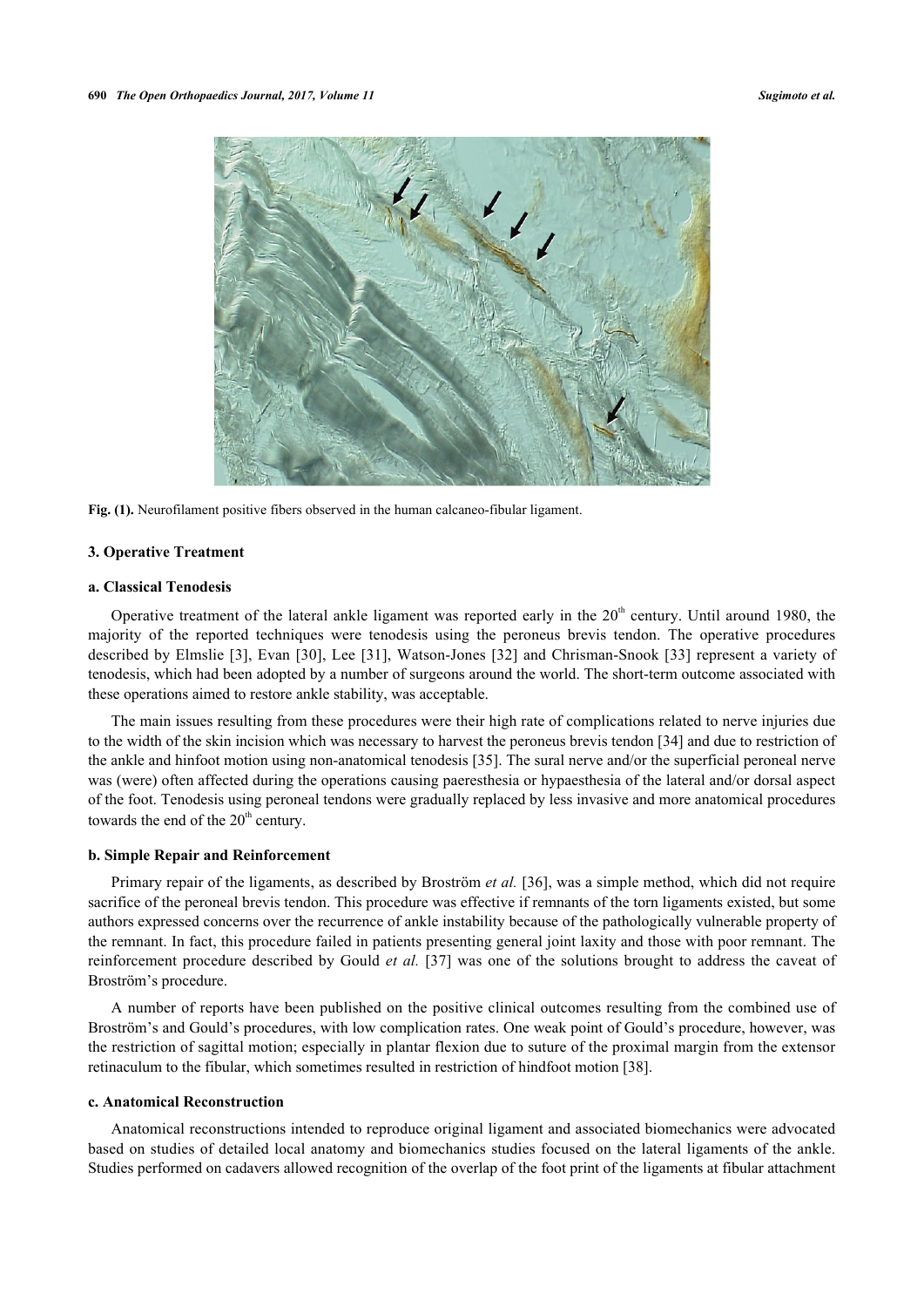

**Fig. (1).** Neurofilament positive fibers observed in the human calcaneo-fibular ligament.

#### **3. Operative Treatment**

### **a. Classical Tenodesis**

Operative treatment of the lateral ankle ligament was reported early in the  $20<sup>th</sup>$  century. Until around 1980, the majority of the reported techniques were tenodesis using the peroneus brevis tendon. The operative procedures described by Elmslie [\[3\]](#page-6-2), Evan [[30](#page-7-18)], Lee [[31](#page-7-19)], Watson-Jones [\[32](#page-7-20)] and Chrisman-Snook [[33\]](#page-8-0) represent a variety of tenodesis, which had been adopted by a number of surgeons around the world. The short-term outcome associated with these operations aimed to restore ankle stability, was acceptable.

The main issues resulting from these procedures were their high rate of complications related to nerve injuries due to the width of the skin incision which was necessary to harvest the peroneus brevis tendon [\[34](#page-8-1)] and due to restriction of the ankle and hinfoot motion using non-anatomical tenodesis [[35\]](#page-8-2). The sural nerve and/or the superficial peroneal nerve was (were) often affected during the operations causing paeresthesia or hypaesthesia of the lateral and/or dorsal aspect of the foot. Tenodesis using peroneal tendons were gradually replaced by less invasive and more anatomical procedures towards the end of the  $20<sup>th</sup>$  century.

#### **b. Simple Repair and Reinforcement**

Primary repair of the ligaments, as described by Broström *et al.* [[36\]](#page-8-3), was a simple method, which did not require sacrifice of the peroneal brevis tendon. This procedure was effective if remnants of the torn ligaments existed, but some authors expressed concerns over the recurrence of ankle instability because of the pathologically vulnerable property of the remnant. In fact, this procedure failed in patients presenting general joint laxity and those with poor remnant. The reinforcement procedure described by Gould *et al.* [[37\]](#page-8-4) was one of the solutions brought to address the caveat of Broström's procedure.

A number of reports have been published on the positive clinical outcomes resulting from the combined use of Broström's and Gould's procedures, with low complication rates. One weak point of Gould's procedure, however, was the restriction of sagittal motion; especially in plantar flexion due to suture of the proximal margin from the extensor retinaculum to the fibular, which sometimes resulted in restriction of hindfoot motion [[38\]](#page-8-5).

#### **c. Anatomical Reconstruction**

Anatomical reconstructions intended to reproduce original ligament and associated biomechanics were advocated based on studies of detailed local anatomy and biomechanics studies focused on the lateral ligaments of the ankle. Studies performed on cadavers allowed recognition of the overlap of the foot print of the ligaments at fibular attachment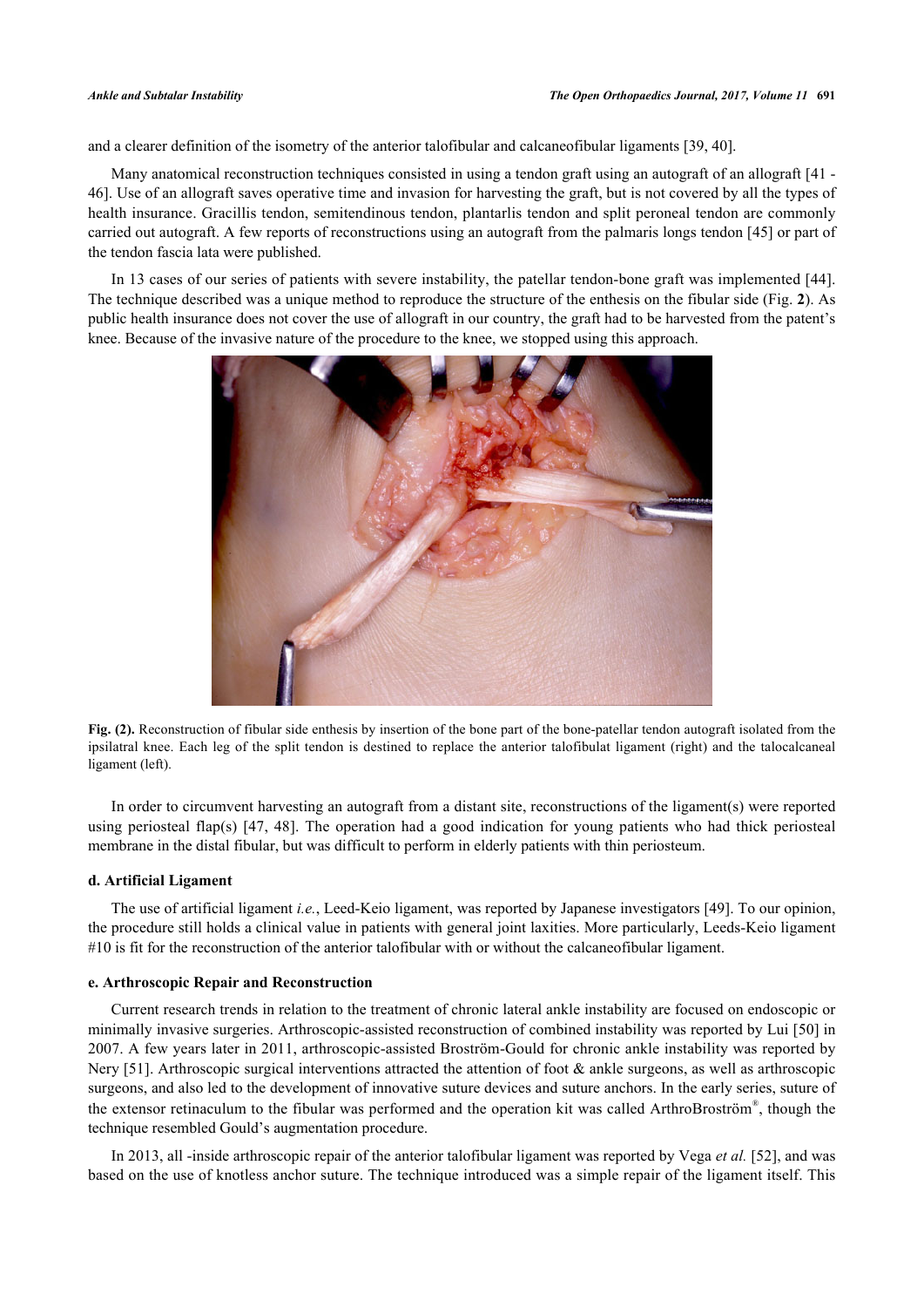and a clearer definition of the isometry of the anterior talofibular and calcaneofibular ligaments [[39,](#page-8-6) [40\]](#page-8-7).

Many anatomical reconstruction techniques consisted in using a tendon graft using an autograft of an allograft [[41](#page-8-8) - [46\]](#page-8-9). Use of an allograft saves operative time and invasion for harvesting the graft, but is not covered by all the types of health insurance. Gracillis tendon, semitendinous tendon, plantarlis tendon and split peroneal tendon are commonly carried out autograft. A few reports of reconstructions using an autograft from the palmaris longs tendon [[45](#page-8-10)] or part of the tendon fascia lata were published.

<span id="page-4-0"></span>In 13 cases of our series of patients with severe instability, the patellar tendon-bone graft was implemented [\[44\]](#page-8-11). The technique described was a unique method to reproduce the structure of the enthesis on the fibular side (Fig. **[2](#page-4-0)**). As public health insurance does not cover the use of allograft in our country, the graft had to be harvested from the patent's knee. Because of the invasive nature of the procedure to the knee, we stopped using this approach.



**Fig. (2).** Reconstruction of fibular side enthesis by insertion of the bone part of the bone-patellar tendon autograft isolated from the ipsilatral knee. Each leg of the split tendon is destined to replace the anterior talofibulat ligament (right) and the talocalcaneal ligament (left).

In order to circumvent harvesting an autograft from a distant site, reconstructions of the ligament(s) were reported using periosteal flap(s) [\[47](#page-8-12), [48\]](#page-8-13). The operation had a good indication for young patients who had thick periosteal membrane in the distal fibular, but was difficult to perform in elderly patients with thin periosteum.

# **d. Artificial Ligament**

The use of artificial ligament *i.e.*, Leed-Keio ligament, was reported by Japanese investigators [\[49](#page-8-14)]. To our opinion, the procedure still holds a clinical value in patients with general joint laxities. More particularly, Leeds-Keio ligament #10 is fit for the reconstruction of the anterior talofibular with or without the calcaneofibular ligament.

### **e. Arthroscopic Repair and Reconstruction**

Current research trends in relation to the treatment of chronic lateral ankle instability are focused on endoscopic or minimally invasive surgeries. Arthroscopic-assisted reconstruction of combined instability was reported by Lui [[50\]](#page-8-15) in 2007. A few years later in 2011, arthroscopic-assisted Broström-Gould for chronic ankle instability was reported by Nery [[51](#page-8-16)]. Arthroscopic surgical interventions attracted the attention of foot  $\&$  ankle surgeons, as well as arthroscopic surgeons, and also led to the development of innovative suture devices and suture anchors. In the early series, suture of the extensor retinaculum to the fibular was performed and the operation kit was called ArthroBroström® , though the technique resembled Gould's augmentation procedure.

In 2013, all -inside arthroscopic repair of the anterior talofibular ligament was reported by Vega *et al.* [\[52](#page-8-17)], and was based on the use of knotless anchor suture. The technique introduced was a simple repair of the ligament itself. This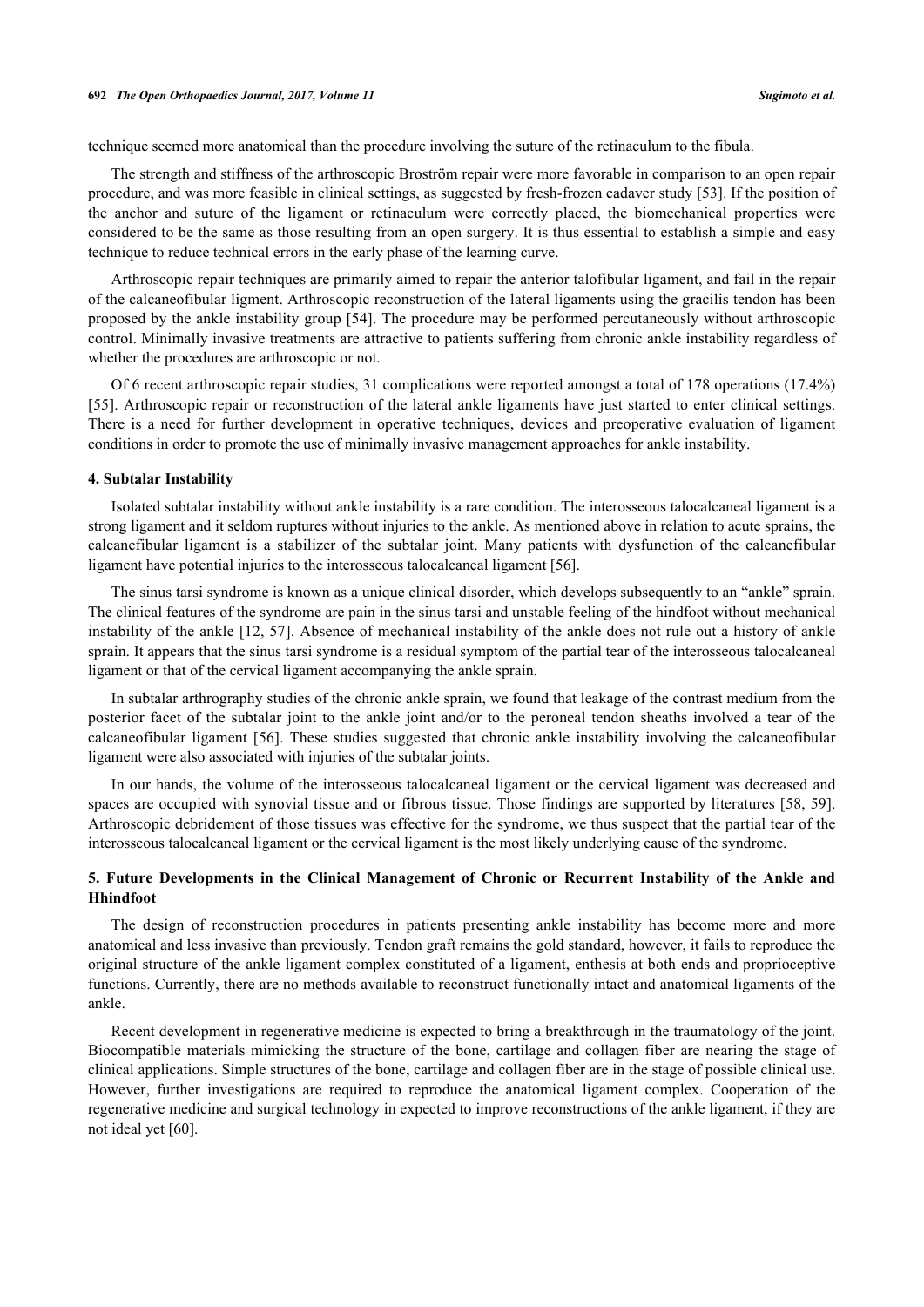technique seemed more anatomical than the procedure involving the suture of the retinaculum to the fibula.

The strength and stiffness of the arthroscopic Broström repair were more favorable in comparison to an open repair procedure, and was more feasible in clinical settings, as suggested by fresh-frozen cadaver study [\[53](#page-8-18)]. If the position of the anchor and suture of the ligament or retinaculum were correctly placed, the biomechanical properties were considered to be the same as those resulting from an open surgery. It is thus essential to establish a simple and easy technique to reduce technical errors in the early phase of the learning curve.

Arthroscopic repair techniques are primarily aimed to repair the anterior talofibular ligament, and fail in the repair of the calcaneofibular ligment. Arthroscopic reconstruction of the lateral ligaments using the gracilis tendon has been proposed by the ankle instability group [[54\]](#page-8-19). The procedure may be performed percutaneously without arthroscopic control. Minimally invasive treatments are attractive to patients suffering from chronic ankle instability regardless of whether the procedures are arthroscopic or not.

Of 6 recent arthroscopic repair studies, 31 complications were reported amongst a total of 178 operations (17.4%) [\[55](#page-9-0)]. Arthroscopic repair or reconstruction of the lateral ankle ligaments have just started to enter clinical settings. There is a need for further development in operative techniques, devices and preoperative evaluation of ligament conditions in order to promote the use of minimally invasive management approaches for ankle instability.

#### **4. Subtalar Instability**

Isolated subtalar instability without ankle instability is a rare condition. The interosseous talocalcaneal ligament is a strong ligament and it seldom ruptures without injuries to the ankle. As mentioned above in relation to acute sprains, the calcanefibular ligament is a stabilizer of the subtalar joint. Many patients with dysfunction of the calcanefibular ligament have potential injuries to the interosseous talocalcaneal ligament [\[56](#page-9-1)].

The sinus tarsi syndrome is known as a unique clinical disorder, which develops subsequently to an "ankle" sprain. The clinical features of the syndrome are pain in the sinus tarsi and unstable feeling of the hindfoot without mechanical instability of the ankle [[12,](#page-7-3) [57\]](#page-9-2). Absence of mechanical instability of the ankle does not rule out a history of ankle sprain. It appears that the sinus tarsi syndrome is a residual symptom of the partial tear of the interosseous talocalcaneal ligament or that of the cervical ligament accompanying the ankle sprain.

In subtalar arthrography studies of the chronic ankle sprain, we found that leakage of the contrast medium from the posterior facet of the subtalar joint to the ankle joint and/or to the peroneal tendon sheaths involved a tear of the calcaneofibular ligament [[56\]](#page-9-1). These studies suggested that chronic ankle instability involving the calcaneofibular ligament were also associated with injuries of the subtalar joints.

In our hands, the volume of the interosseous talocalcaneal ligament or the cervical ligament was decreased and spaces are occupied with synovial tissue and or fibrous tissue. Those findings are supported by literatures [\[58,](#page-9-3) [59\]](#page-9-4). Arthroscopic debridement of those tissues was effective for the syndrome, we thus suspect that the partial tear of the interosseous talocalcaneal ligament or the cervical ligament is the most likely underlying cause of the syndrome.

# **5. Future Developments in the Clinical Management of Chronic or Recurrent Instability of the Ankle and Hhindfoot**

The design of reconstruction procedures in patients presenting ankle instability has become more and more anatomical and less invasive than previously. Tendon graft remains the gold standard, however, it fails to reproduce the original structure of the ankle ligament complex constituted of a ligament, enthesis at both ends and proprioceptive functions. Currently, there are no methods available to reconstruct functionally intact and anatomical ligaments of the ankle.

Recent development in regenerative medicine is expected to bring a breakthrough in the traumatology of the joint. Biocompatible materials mimicking the structure of the bone, cartilage and collagen fiber are nearing the stage of clinical applications. Simple structures of the bone, cartilage and collagen fiber are in the stage of possible clinical use. However, further investigations are required to reproduce the anatomical ligament complex. Cooperation of the regenerative medicine and surgical technology in expected to improve reconstructions of the ankle ligament, if they are not ideal yet [[60\]](#page-9-5).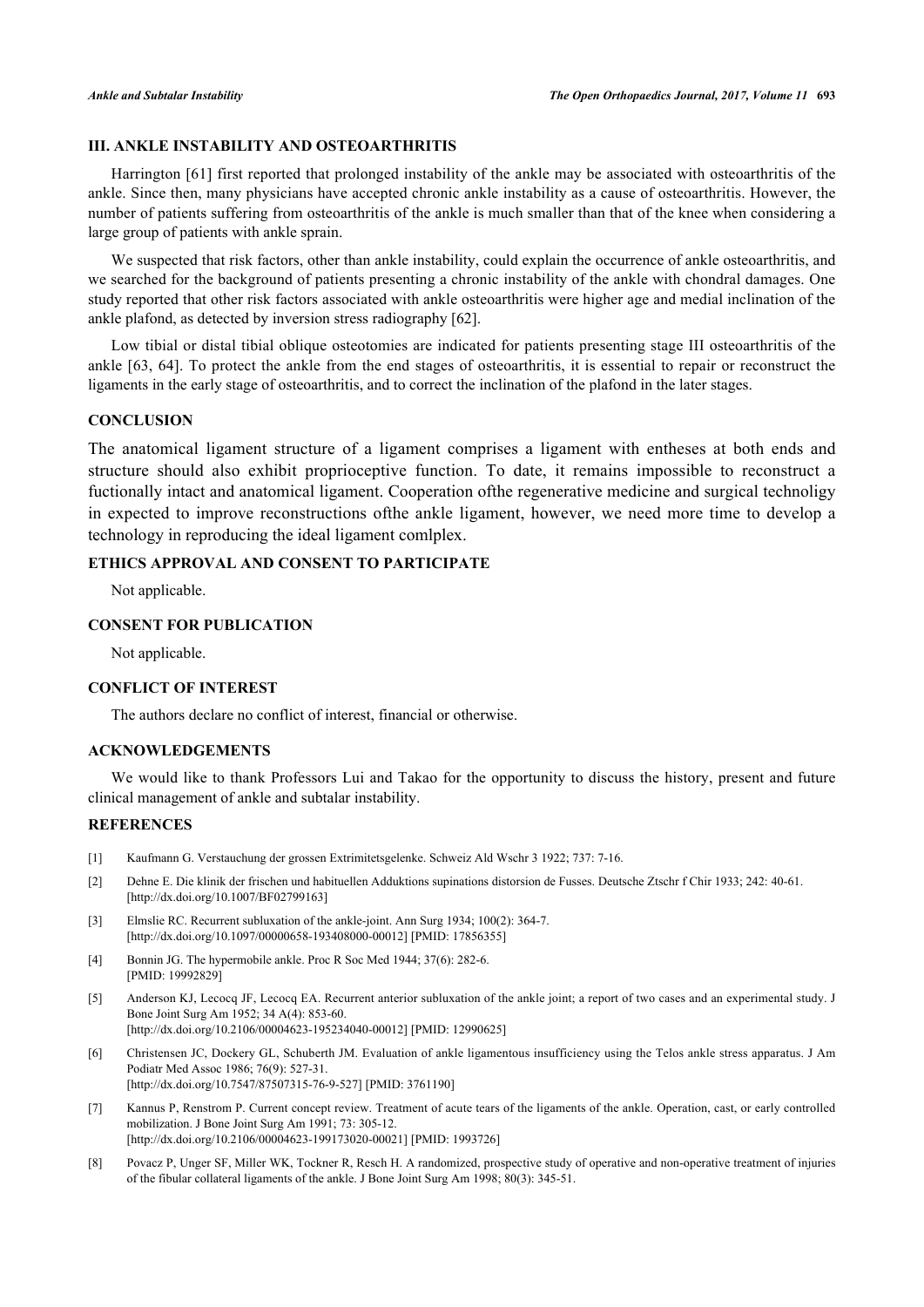# **III. ANKLE INSTABILITY AND OSTEOARTHRITIS**

Harrington [\[61](#page-9-6)] first reported that prolonged instability of the ankle may be associated with osteoarthritis of the ankle. Since then, many physicians have accepted chronic ankle instability as a cause of osteoarthritis. However, the number of patients suffering from osteoarthritis of the ankle is much smaller than that of the knee when considering a large group of patients with ankle sprain.

We suspected that risk factors, other than ankle instability, could explain the occurrence of ankle osteoarthritis, and we searched for the background of patients presenting a chronic instability of the ankle with chondral damages. One study reported that other risk factors associated with ankle osteoarthritis were higher age and medial inclination of the ankle plafond, as detected by inversion stress radiography [\[62](#page-9-7)].

Low tibial or distal tibial oblique osteotomies are indicated for patients presenting stage III osteoarthritis of the ankle [[63,](#page-9-8) [64](#page-9-9)]. To protect the ankle from the end stages of osteoarthritis, it is essential to repair or reconstruct the ligaments in the early stage of osteoarthritis, and to correct the inclination of the plafond in the later stages.

# **CONCLUSION**

The anatomical ligament structure of a ligament comprises a ligament with entheses at both ends and structure should also exhibit proprioceptive function. To date, it remains impossible to reconstruct a fuctionally intact and anatomical ligament. Cooperation ofthe regenerative medicine and surgical technoligy in expected to improve reconstructions ofthe ankle ligament, however, we need more time to develop a technology in reproducing the ideal ligament comlplex.

# **ETHICS APPROVAL AND CONSENT TO PARTICIPATE**

Not applicable.

# **CONSENT FOR PUBLICATION**

Not applicable.

# **CONFLICT OF INTEREST**

The authors declare no conflict of interest, financial or otherwise.

# **ACKNOWLEDGEMENTS**

We would like to thank Professors Lui and Takao for the opportunity to discuss the history, present and future clinical management of ankle and subtalar instability.

# **REFERENCES**

- <span id="page-6-0"></span>[1] Kaufmann G. Verstauchung der grossen Extrimitetsgelenke. Schweiz Ald Wschr 3 1922; 737: 7-16.
- <span id="page-6-1"></span>[2] Dehne E. Die klinik der frischen und habituellen Adduktions supinations distorsion de Fusses. Deutsche Ztschr f Chir 1933; 242: 40-61. [\[http://dx.doi.org/10.1007/BF02799163\]](http://dx.doi.org/10.1007/BF02799163)
- <span id="page-6-2"></span>[3] Elmslie RC. Recurrent subluxation of the ankle-joint. Ann Surg 1934; 100(2): 364-7. [\[http://dx.doi.org/10.1097/00000658-193408000-00012](http://dx.doi.org/10.1097/00000658-193408000-00012)] [PMID: [17856355\]](http://www.ncbi.nlm.nih.gov/pubmed/17856355)
- <span id="page-6-3"></span>[4] Bonnin JG. The hypermobile ankle. Proc R Soc Med 1944; 37(6): 282-6. [PMID: [19992829\]](http://www.ncbi.nlm.nih.gov/pubmed/19992829)
- <span id="page-6-4"></span>[5] Anderson KJ, Lecocq JF, Lecocq EA. Recurrent anterior subluxation of the ankle joint; a report of two cases and an experimental study. J Bone Joint Surg Am 1952; 34 A(4): 853-60. [\[http://dx.doi.org/10.2106/00004623-195234040-00012](http://dx.doi.org/10.2106/00004623-195234040-00012)] [PMID: [12990625\]](http://www.ncbi.nlm.nih.gov/pubmed/12990625)
- <span id="page-6-5"></span>[6] Christensen JC, Dockery GL, Schuberth JM. Evaluation of ankle ligamentous insufficiency using the Telos ankle stress apparatus. J Am Podiatr Med Assoc 1986; 76(9): 527-31. [\[http://dx.doi.org/10.7547/87507315-76-9-527\]](http://dx.doi.org/10.7547/87507315-76-9-527) [PMID: [3761190](http://www.ncbi.nlm.nih.gov/pubmed/3761190)]
- <span id="page-6-6"></span>[7] Kannus P, Renstrom P. Current concept review. Treatment of acute tears of the ligaments of the ankle. Operation, cast, or early controlled mobilization. J Bone Joint Surg Am 1991; 73: 305-12. [\[http://dx.doi.org/10.2106/00004623-199173020-00021](http://dx.doi.org/10.2106/00004623-199173020-00021)] [PMID: [1993726\]](http://www.ncbi.nlm.nih.gov/pubmed/1993726)
- <span id="page-6-7"></span>[8] Povacz P, Unger SF, Miller WK, Tockner R, Resch H. A randomized, prospective study of operative and non-operative treatment of injuries of the fibular collateral ligaments of the ankle. J Bone Joint Surg Am 1998; 80(3): 345-51.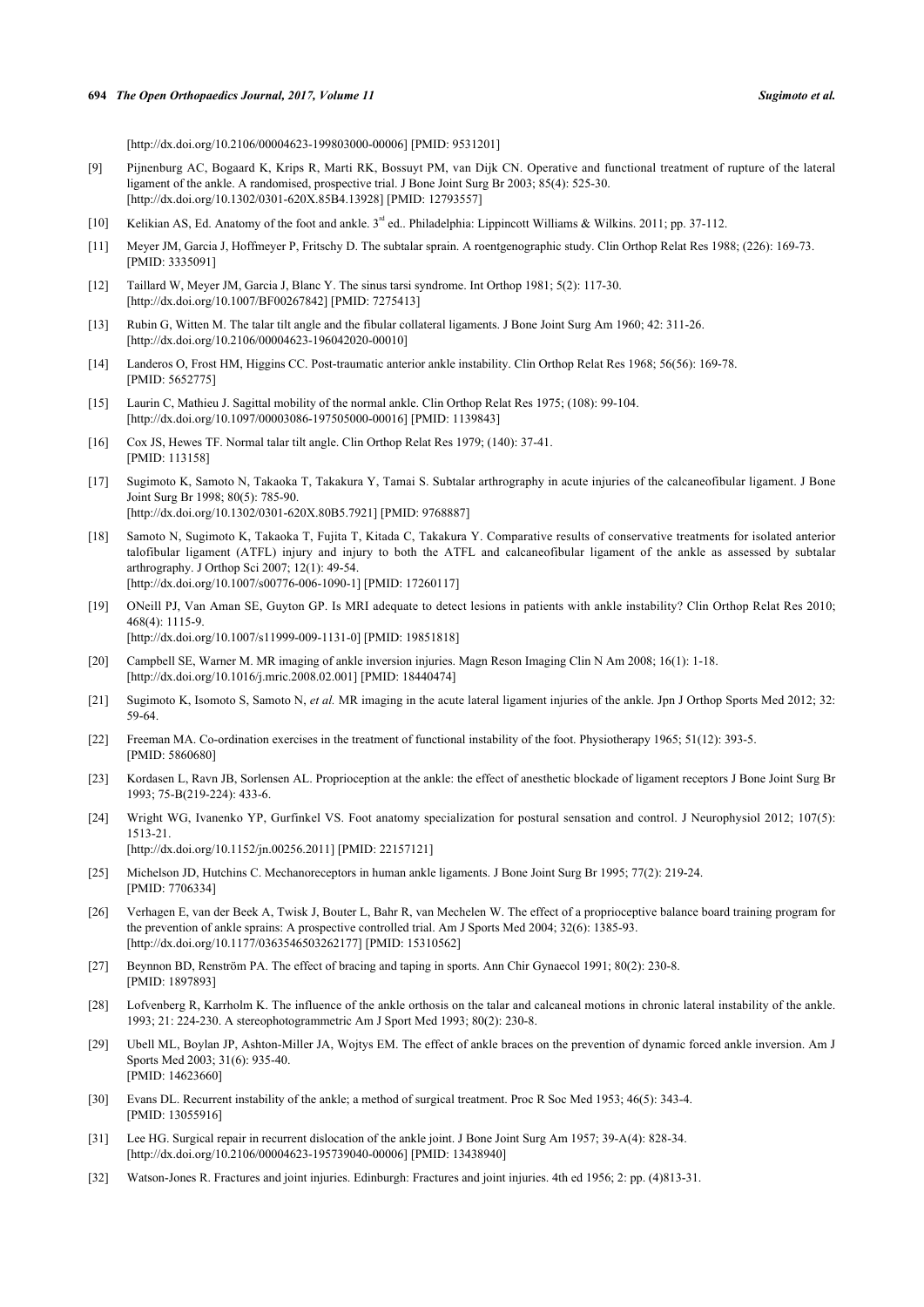[\[http://dx.doi.org/10.2106/00004623-199803000-00006](http://dx.doi.org/10.2106/00004623-199803000-00006)] [PMID: [9531201\]](http://www.ncbi.nlm.nih.gov/pubmed/9531201)

- <span id="page-7-0"></span>[9] Pijnenburg AC, Bogaard K, Krips R, Marti RK, Bossuyt PM, van Dijk CN. Operative and functional treatment of rupture of the lateral ligament of the ankle. A randomised, prospective trial. J Bone Joint Surg Br 2003; 85(4): 525-30. [\[http://dx.doi.org/10.1302/0301-620X.85B4.13928\]](http://dx.doi.org/10.1302/0301-620X.85B4.13928) [PMID: [12793557](http://www.ncbi.nlm.nih.gov/pubmed/12793557)]
- <span id="page-7-1"></span>[10] Kelikian AS, Ed. Anatomy of the foot and ankle. 3<sup>rd</sup> ed.. Philadelphia: Lippincott Williams & Wilkins. 2011; pp. 37-112.
- <span id="page-7-2"></span>[11] Meyer JM, Garcia J, Hoffmeyer P, Fritschy D. The subtalar sprain. A roentgenographic study. Clin Orthop Relat Res 1988; (226): 169-73. [PMID: [3335091\]](http://www.ncbi.nlm.nih.gov/pubmed/3335091)
- <span id="page-7-3"></span>[12] Taillard W, Meyer JM, Garcia J, Blanc Y. The sinus tarsi syndrome. Int Orthop 1981; 5(2): 117-30. [\[http://dx.doi.org/10.1007/BF00267842\]](http://dx.doi.org/10.1007/BF00267842) [PMID: [7275413](http://www.ncbi.nlm.nih.gov/pubmed/7275413)]
- <span id="page-7-4"></span>[13] Rubin G, Witten M. The talar tilt angle and the fibular collateral ligaments. J Bone Joint Surg Am 1960; 42: 311-26. [\[http://dx.doi.org/10.2106/00004623-196042020-00010](http://dx.doi.org/10.2106/00004623-196042020-00010)]
- [14] Landeros O, Frost HM, Higgins CC. Post-traumatic anterior ankle instability. Clin Orthop Relat Res 1968; 56(56): 169-78. [PMID: [5652775\]](http://www.ncbi.nlm.nih.gov/pubmed/5652775)
- [15] Laurin C, Mathieu J. Sagittal mobility of the normal ankle. Clin Orthop Relat Res 1975; (108): 99-104. [\[http://dx.doi.org/10.1097/00003086-197505000-00016](http://dx.doi.org/10.1097/00003086-197505000-00016)] [PMID: [1139843\]](http://www.ncbi.nlm.nih.gov/pubmed/1139843)
- <span id="page-7-5"></span>[16] Cox JS, Hewes TF. Normal talar tilt angle. Clin Orthop Relat Res 1979; (140): 37-41. [PMID: [113158\]](http://www.ncbi.nlm.nih.gov/pubmed/113158)
- <span id="page-7-6"></span>[17] Sugimoto K, Samoto N, Takaoka T, Takakura Y, Tamai S. Subtalar arthrography in acute injuries of the calcaneofibular ligament. J Bone Joint Surg Br 1998; 80(5): 785-90. [\[http://dx.doi.org/10.1302/0301-620X.80B5.7921\]](http://dx.doi.org/10.1302/0301-620X.80B5.7921) [PMID: [9768887](http://www.ncbi.nlm.nih.gov/pubmed/9768887)]
- <span id="page-7-7"></span>[18] Samoto N, Sugimoto K, Takaoka T, Fujita T, Kitada C, Takakura Y. Comparative results of conservative treatments for isolated anterior talofibular ligament (ATFL) injury and injury to both the ATFL and calcaneofibular ligament of the ankle as assessed by subtalar arthrography. J Orthop Sci 2007; 12(1): 49-54. [\[http://dx.doi.org/10.1007/s00776-006-1090-1\]](http://dx.doi.org/10.1007/s00776-006-1090-1) [PMID: [17260117](http://www.ncbi.nlm.nih.gov/pubmed/17260117)]
- <span id="page-7-8"></span>[19] ONeill PJ, Van Aman SE, Guyton GP. Is MRI adequate to detect lesions in patients with ankle instability? Clin Orthop Relat Res 2010; 468(4): 1115-9. [\[http://dx.doi.org/10.1007/s11999-009-1131-0\]](http://dx.doi.org/10.1007/s11999-009-1131-0) [PMID: [19851818](http://www.ncbi.nlm.nih.gov/pubmed/19851818)]
- <span id="page-7-9"></span>[20] Campbell SE, Warner M. MR imaging of ankle inversion injuries. Magn Reson Imaging Clin N Am 2008; 16(1): 1-18. [\[http://dx.doi.org/10.1016/j.mric.2008.02.001\]](http://dx.doi.org/10.1016/j.mric.2008.02.001) [PMID: [18440474](http://www.ncbi.nlm.nih.gov/pubmed/18440474)]
- <span id="page-7-10"></span>[21] Sugimoto K, Isomoto S, Samoto N, *et al.* MR imaging in the acute lateral ligament injuries of the ankle. Jpn J Orthop Sports Med 2012; 32: 59-64.
- <span id="page-7-11"></span>[22] Freeman MA. Co-ordination exercises in the treatment of functional instability of the foot. Physiotherapy 1965; 51(12): 393-5. [PMID: [5860680\]](http://www.ncbi.nlm.nih.gov/pubmed/5860680)
- <span id="page-7-12"></span>[23] Kordasen L, Ravn JB, Sorlensen AL. Proprioception at the ankle: the effect of anesthetic blockade of ligament receptors J Bone Joint Surg Br 1993; 75-B(219-224): 433-6.
- <span id="page-7-13"></span>[24] Wright WG, Ivanenko YP, Gurfinkel VS. Foot anatomy specialization for postural sensation and control. J Neurophysiol 2012; 107(5): 1513-21. [\[http://dx.doi.org/10.1152/jn.00256.2011](http://dx.doi.org/10.1152/jn.00256.2011)] [PMID: [22157121\]](http://www.ncbi.nlm.nih.gov/pubmed/22157121)
- <span id="page-7-14"></span>[25] Michelson JD, Hutchins C. Mechanoreceptors in human ankle ligaments. J Bone Joint Surg Br 1995; 77(2): 219-24. [PMID: [7706334\]](http://www.ncbi.nlm.nih.gov/pubmed/7706334)
- <span id="page-7-15"></span>[26] Verhagen E, van der Beek A, Twisk J, Bouter L, Bahr R, van Mechelen W. The effect of a proprioceptive balance board training program for the prevention of ankle sprains: A prospective controlled trial. Am J Sports Med 2004; 32(6): 1385-93. [\[http://dx.doi.org/10.1177/0363546503262177\]](http://dx.doi.org/10.1177/0363546503262177) [PMID: [15310562](http://www.ncbi.nlm.nih.gov/pubmed/15310562)]
- <span id="page-7-16"></span>[27] Beynnon BD, Renström PA. The effect of bracing and taping in sports. Ann Chir Gynaecol 1991; 80(2): 230-8. [PMID: [1897893\]](http://www.ncbi.nlm.nih.gov/pubmed/1897893)
- [28] Lofvenberg R, Karrholm K. The influence of the ankle orthosis on the talar and calcaneal motions in chronic lateral instability of the ankle. 1993; 21: 224-230. A stereophotogrammetric Am J Sport Med 1993; 80(2): 230-8.
- <span id="page-7-17"></span>[29] Ubell ML, Boylan JP, Ashton-Miller JA, Wojtys EM. The effect of ankle braces on the prevention of dynamic forced ankle inversion. Am J Sports Med 2003; 31(6): 935-40. [PMID: [14623660\]](http://www.ncbi.nlm.nih.gov/pubmed/14623660)
- <span id="page-7-18"></span>[30] Evans DL. Recurrent instability of the ankle; a method of surgical treatment. Proc R Soc Med 1953; 46(5): 343-4. [PMID: [13055916\]](http://www.ncbi.nlm.nih.gov/pubmed/13055916)
- <span id="page-7-19"></span>[31] Lee HG. Surgical repair in recurrent dislocation of the ankle joint. J Bone Joint Surg Am 1957; 39-A(4): 828-34. [\[http://dx.doi.org/10.2106/00004623-195739040-00006](http://dx.doi.org/10.2106/00004623-195739040-00006)] [PMID: [13438940\]](http://www.ncbi.nlm.nih.gov/pubmed/13438940)
- <span id="page-7-20"></span>[32] Watson-Jones R. Fractures and joint injuries. Edinburgh: Fractures and joint injuries. 4th ed 1956; 2: pp. (4)813-31.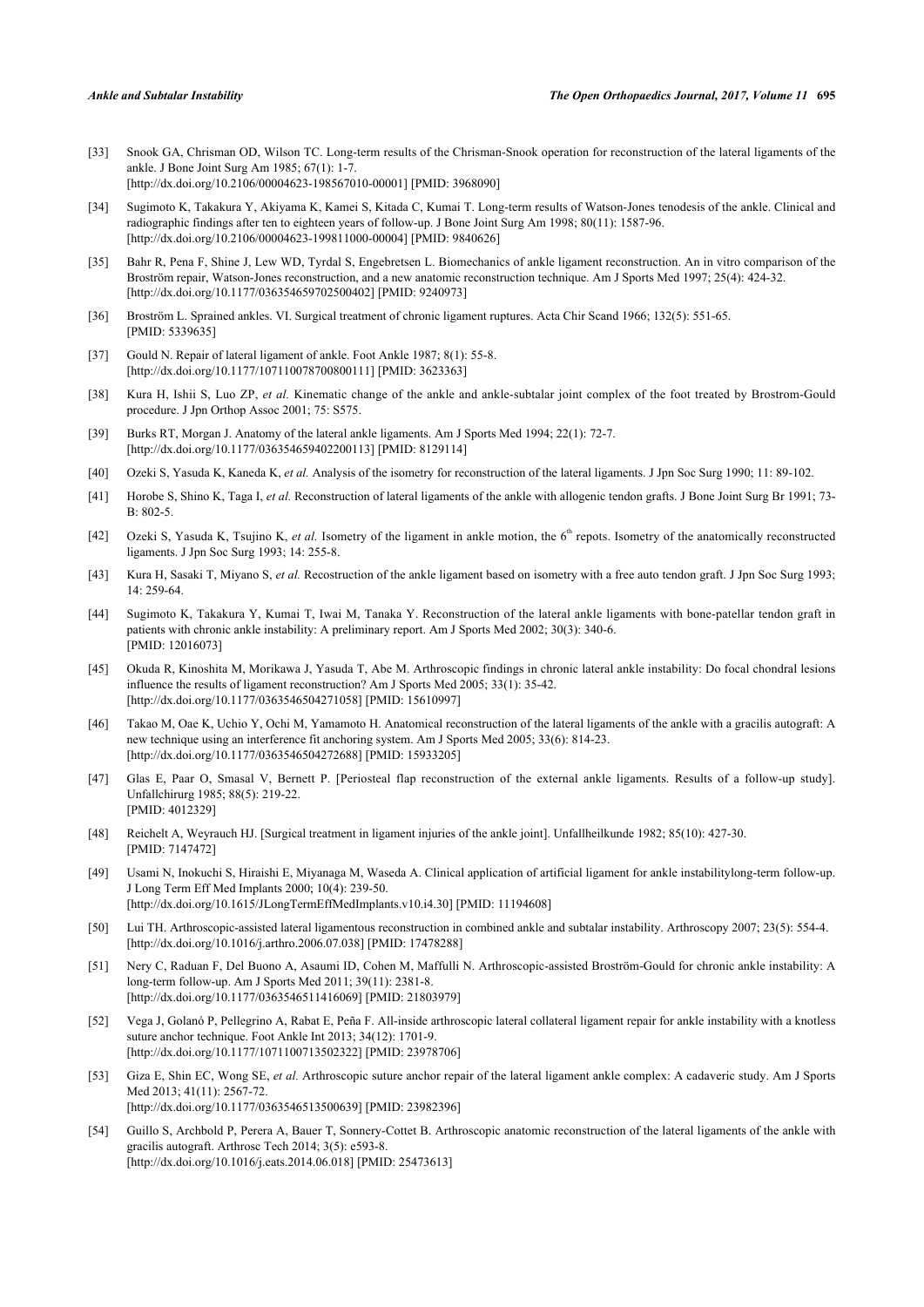- <span id="page-8-0"></span>[33] Snook GA, Chrisman OD, Wilson TC. Long-term results of the Chrisman-Snook operation for reconstruction of the lateral ligaments of the ankle. J Bone Joint Surg Am 1985; 67(1): 1-7. [\[http://dx.doi.org/10.2106/00004623-198567010-00001](http://dx.doi.org/10.2106/00004623-198567010-00001)] [PMID: [3968090\]](http://www.ncbi.nlm.nih.gov/pubmed/3968090)
- <span id="page-8-1"></span>[34] Sugimoto K, Takakura Y, Akiyama K, Kamei S, Kitada C, Kumai T. Long-term results of Watson-Jones tenodesis of the ankle. Clinical and radiographic findings after ten to eighteen years of follow-up. J Bone Joint Surg Am 1998; 80(11): 1587-96. [\[http://dx.doi.org/10.2106/00004623-199811000-00004](http://dx.doi.org/10.2106/00004623-199811000-00004)] [PMID: [9840626\]](http://www.ncbi.nlm.nih.gov/pubmed/9840626)
- <span id="page-8-2"></span>[35] Bahr R, Pena F, Shine J, Lew WD, Tyrdal S, Engebretsen L. Biomechanics of ankle ligament reconstruction. An in vitro comparison of the Broström repair, Watson-Jones reconstruction, and a new anatomic reconstruction technique. Am J Sports Med 1997; 25(4): 424-32. [\[http://dx.doi.org/10.1177/036354659702500402\]](http://dx.doi.org/10.1177/036354659702500402) [PMID: [9240973](http://www.ncbi.nlm.nih.gov/pubmed/9240973)]
- <span id="page-8-3"></span>[36] Broström L. Sprained ankles. VI. Surgical treatment of chronic ligament ruptures. Acta Chir Scand 1966; 132(5): 551-65. [PMID: [5339635\]](http://www.ncbi.nlm.nih.gov/pubmed/5339635)
- <span id="page-8-4"></span>[37] Gould N. Repair of lateral ligament of ankle. Foot Ankle 1987; 8(1): 55-8. [\[http://dx.doi.org/10.1177/107110078700800111\]](http://dx.doi.org/10.1177/107110078700800111) [PMID: [3623363](http://www.ncbi.nlm.nih.gov/pubmed/3623363)]
- <span id="page-8-5"></span>[38] Kura H, Ishii S, Luo ZP, *et al.* Kinematic change of the ankle and ankle-subtalar joint complex of the foot treated by Brostrom-Gould procedure. J Jpn Orthop Assoc 2001; 75: S575.
- <span id="page-8-6"></span>[39] Burks RT, Morgan J. Anatomy of the lateral ankle ligaments. Am J Sports Med 1994; 22(1): 72-7. [\[http://dx.doi.org/10.1177/036354659402200113\]](http://dx.doi.org/10.1177/036354659402200113) [PMID: [8129114](http://www.ncbi.nlm.nih.gov/pubmed/8129114)]
- <span id="page-8-7"></span>[40] Ozeki S, Yasuda K, Kaneda K, *et al.* Analysis of the isometry for reconstruction of the lateral ligaments. J Jpn Soc Surg 1990; 11: 89-102.
- <span id="page-8-8"></span>[41] Horobe S, Shino K, Taga I, *et al.* Reconstruction of lateral ligaments of the ankle with allogenic tendon grafts. J Bone Joint Surg Br 1991; 73-  $B: 802-5$
- [42] Ozeki S, Yasuda K, Tsujino K, *et al.* Isometry of the ligament in ankle motion, the 6<sup>th</sup> repots. Isometry of the anatomically reconstructed ligaments. J Jpn Soc Surg 1993; 14: 255-8.
- [43] Kura H, Sasaki T, Miyano S, *et al.* Recostruction of the ankle ligament based on isometry with a free auto tendon graft. J Jpn Soc Surg 1993; 14: 259-64.
- <span id="page-8-11"></span>[44] Sugimoto K, Takakura Y, Kumai T, Iwai M, Tanaka Y. Reconstruction of the lateral ankle ligaments with bone-patellar tendon graft in patients with chronic ankle instability: A preliminary report. Am J Sports Med 2002; 30(3): 340-6. [PMID: [12016073\]](http://www.ncbi.nlm.nih.gov/pubmed/12016073)
- <span id="page-8-10"></span>[45] Okuda R, Kinoshita M, Morikawa J, Yasuda T, Abe M. Arthroscopic findings in chronic lateral ankle instability: Do focal chondral lesions influence the results of ligament reconstruction? Am J Sports Med 2005; 33(1): 35-42. [\[http://dx.doi.org/10.1177/0363546504271058\]](http://dx.doi.org/10.1177/0363546504271058) [PMID: [15610997](http://www.ncbi.nlm.nih.gov/pubmed/15610997)]
- <span id="page-8-9"></span>[46] Takao M, Oae K, Uchio Y, Ochi M, Yamamoto H. Anatomical reconstruction of the lateral ligaments of the ankle with a gracilis autograft: A new technique using an interference fit anchoring system. Am J Sports Med 2005; 33(6): 814-23. [\[http://dx.doi.org/10.1177/0363546504272688\]](http://dx.doi.org/10.1177/0363546504272688) [PMID: [15933205](http://www.ncbi.nlm.nih.gov/pubmed/15933205)]
- <span id="page-8-12"></span>[47] Glas E, Paar O, Smasal V, Bernett P. [Periosteal flap reconstruction of the external ankle ligaments. Results of a follow-up study]. Unfallchirurg 1985; 88(5): 219-22. [PMID: [4012329\]](http://www.ncbi.nlm.nih.gov/pubmed/4012329)
- <span id="page-8-13"></span>[48] Reichelt A, Weyrauch HJ. [Surgical treatment in ligament injuries of the ankle joint]. Unfallheilkunde 1982; 85(10): 427-30. [PMID: [7147472\]](http://www.ncbi.nlm.nih.gov/pubmed/7147472)
- <span id="page-8-14"></span>[49] Usami N, Inokuchi S, Hiraishi E, Miyanaga M, Waseda A. Clinical application of artificial ligament for ankle instabilitylong-term follow-up. J Long Term Eff Med Implants 2000; 10(4): 239-50. [\[http://dx.doi.org/10.1615/JLongTermEffMedImplants.v10.i4.30](http://dx.doi.org/10.1615/JLongTermEffMedImplants.v10.i4.30)] [PMID: [11194608\]](http://www.ncbi.nlm.nih.gov/pubmed/11194608)
- <span id="page-8-15"></span>[50] Lui TH. Arthroscopic-assisted lateral ligamentous reconstruction in combined ankle and subtalar instability. Arthroscopy 2007; 23(5): 554-4. [\[http://dx.doi.org/10.1016/j.arthro.2006.07.038](http://dx.doi.org/10.1016/j.arthro.2006.07.038)] [PMID: [17478288\]](http://www.ncbi.nlm.nih.gov/pubmed/17478288)
- <span id="page-8-16"></span>[51] Nery C, Raduan F, Del Buono A, Asaumi ID, Cohen M, Maffulli N. Arthroscopic-assisted Broström-Gould for chronic ankle instability: A long-term follow-up. Am J Sports Med 2011; 39(11): 2381-8. [\[http://dx.doi.org/10.1177/0363546511416069\]](http://dx.doi.org/10.1177/0363546511416069) [PMID: [21803979](http://www.ncbi.nlm.nih.gov/pubmed/21803979)]
- <span id="page-8-17"></span>[52] Vega J, Golanó P, Pellegrino A, Rabat E, Peña F. All-inside arthroscopic lateral collateral ligament repair for ankle instability with a knotless suture anchor technique. Foot Ankle Int 2013; 34(12): 1701-9. [\[http://dx.doi.org/10.1177/1071100713502322\]](http://dx.doi.org/10.1177/1071100713502322) [PMID: [23978706](http://www.ncbi.nlm.nih.gov/pubmed/23978706)]
- <span id="page-8-18"></span>[53] Giza E, Shin EC, Wong SE, *et al.* Arthroscopic suture anchor repair of the lateral ligament ankle complex: A cadaveric study. Am J Sports Med 2013; 41(11): 2567-72. [\[http://dx.doi.org/10.1177/0363546513500639\]](http://dx.doi.org/10.1177/0363546513500639) [PMID: [23982396](http://www.ncbi.nlm.nih.gov/pubmed/23982396)]
- <span id="page-8-19"></span>[54] Guillo S, Archbold P, Perera A, Bauer T, Sonnery-Cottet B. Arthroscopic anatomic reconstruction of the lateral ligaments of the ankle with gracilis autograft. Arthrosc Tech 2014; 3(5): e593-8. [\[http://dx.doi.org/10.1016/j.eats.2014.06.018](http://dx.doi.org/10.1016/j.eats.2014.06.018)] [PMID: [25473613](http://www.ncbi.nlm.nih.gov/pubmed/25473613)]